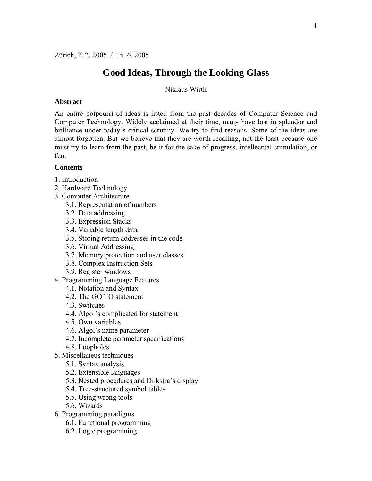# **Good Ideas, Through the Looking Glass**

Niklaus Wirth

#### **Abstract**

An entire potpourri of ideas is listed from the past decades of Computer Science and Computer Technology. Widely acclaimed at their time, many have lost in splendor and brilliance under today's critical scrutiny. We try to find reasons. Some of the ideas are almost forgotten. But we believe that they are worth recalling, not the least because one must try to learn from the past, be it for the sake of progress, intellectual stimulation, or fun.

#### **Contents**

- 1. Introduction
- 2. Hardware Technology
- 3. Computer Architecture
	- 3.1. Representation of numbers
	- 3.2. Data addressing
	- 3.3. Expression Stacks
	- 3.4. Variable length data
	- 3.5. Storing return addresses in the code
	- 3.6. Virtual Addressing
	- 3.7. Memory protection and user classes
	- 3.8. Complex Instruction Sets
	- 3.9. Register windows
- 4. Programming Language Features
	- 4.1. Notation and Syntax
	- 4.2. The GO TO statement
	- 4.3. Switches
	- 4.4. Algol's complicated for statement
	- 4.5. Own variables
	- 4.6. Algol's name parameter
	- 4.7. Incomplete parameter specifications
	- 4.8. Loopholes
- 5. Miscellaneus techniques
	- 5.1. Syntax analysis
	- 5.2. Extensible languages
	- 5.3. Nested procedures and Dijkstra's display
	- 5.4. Tree-structured symbol tables
	- 5.5. Using wrong tools
	- 5.6. Wizards
- 6. Programming paradigms
	- 6.1. Functional programming
	- 6.2. Logic programming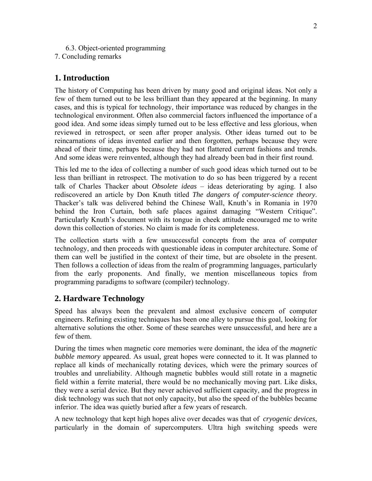- 6.3. Object-oriented programming
- 7. Concluding remarks

# **1. Introduction**

The history of Computing has been driven by many good and original ideas. Not only a few of them turned out to be less brilliant than they appeared at the beginning. In many cases, and this is typical for technology, their importance was reduced by changes in the technological environment. Often also commercial factors influenced the importance of a good idea. And some ideas simply turned out to be less effective and less glorious, when reviewed in retrospect, or seen after proper analysis. Other ideas turned out to be reincarnations of ideas invented earlier and then forgotten, perhaps because they were ahead of their time, perhaps because they had not flattered current fashions and trends. And some ideas were reinvented, although they had already been bad in their first round.

This led me to the idea of collecting a number of such good ideas which turned out to be less than brilliant in retrospect. The motivation to do so has been triggered by a recent talk of Charles Thacker about *Obsolete ideas* – ideas deteriorating by aging. I also rediscovered an article by Don Knuth titled *The dangers of computer-science theory*. Thacker's talk was delivered behind the Chinese Wall, Knuth's in Romania in 1970 behind the Iron Curtain, both safe places against damaging "Western Critique". Particularly Knuth's document with its tongue in cheek attitude encouraged me to write down this collection of stories. No claim is made for its completeness.

The collection starts with a few unsuccessful concepts from the area of computer technology, and then proceeds with questionable ideas in computer architecture. Some of them can well be justified in the context of their time, but are obsolete in the present. Then follows a collection of ideas from the realm of programming languages, particularly from the early proponents. And finally, we mention miscellaneous topics from programming paradigms to software (compiler) technology.

## **2. Hardware Technology**

Speed has always been the prevalent and almost exclusive concern of computer engineers. Refining existing techniques has been one alley to pursue this goal, looking for alternative solutions the other. Some of these searches were unsuccessful, and here are a few of them.

During the times when magnetic core memories were dominant, the idea of the *magnetic bubble memory* appeared. As usual, great hopes were connected to it. It was planned to replace all kinds of mechanically rotating devices, which were the primary sources of troubles and unreliability. Although magnetic bubbles would still rotate in a magnetic field within a ferrite material, there would be no mechanically moving part. Like disks, they were a serial device. But they never achieved sufficient capacity, and the progress in disk technology was such that not only capacity, but also the speed of the bubbles became inferior. The idea was quietly buried after a few years of research.

A new technology that kept high hopes alive over decades was that of *cryogenic devices*, particularly in the domain of supercomputers. Ultra high switching speeds were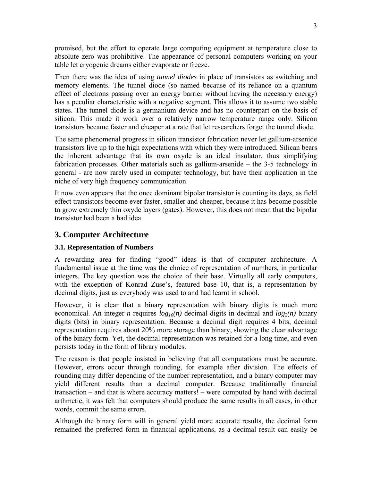promised, but the effort to operate large computing equipment at temperature close to absolute zero was prohibitive. The appearance of personal computers working on your table let cryogenic dreams either evaporate or freeze.

Then there was the idea of using *tunnel diodes* in place of transistors as switching and memory elements. The tunnel diode (so named because of its reliance on a quantum effect of electrons passing over an energy barrier without having the necessary energy) has a peculiar characteristic with a negative segment. This allows it to assume two stable states. The tunnel diode is a germanium device and has no counterpart on the basis of silicon. This made it work over a relatively narrow temperature range only. Silicon transistors became faster and cheaper at a rate that let researchers forget the tunnel diode.

The same phenomenal progress in silicon transistor fabrication never let gallium-arsenide transistors live up to the high expectations with which they were introduced. Silican bears the inherent advantage that its own oxyde is an ideal insulator, thus simplifying fabrication processes. Other materials such as gallium-arsenide – the 3-5 technology in general - are now rarely used in computer technology, but have their application in the niche of very high frequency communication.

It now even appears that the once dominant bipolar transistor is counting its days, as field effect transistors become ever faster, smaller and cheaper, because it has become possible to grow extremely thin oxyde layers (gates). However, this does not mean that the bipolar transistor had been a bad idea.

# **3. Computer Architecture**

## **3.1. Representation of Numbers**

A rewarding area for finding "good" ideas is that of computer architecture. A fundamental issue at the time was the choice of representation of numbers*,* in particular integers. The key question was the choice of their base. Virtually all early computers, with the exception of Konrad Zuse's, featured base 10, that is, a representation by decimal digits, just as everybody was used to and had learnt in school.

However, it is clear that a binary representation with binary digits is much more economical. An integer *n* requires  $log_{10}(n)$  decimal digits in decimal and  $log_2(n)$  binary digits (bits) in binary representation. Because a decimal digit requires 4 bits, decimal representation requires about 20% more storage than binary, showing the clear advantage of the binary form. Yet, the decimal representation was retained for a long time, and even persists today in the form of library modules.

The reason is that people insisted in believing that all computations must be accurate. However, errors occur through rounding, for example after division. The effects of rounding may differ depending of the number representation, and a binary computer may yield different results than a decimal computer. Because traditionally financial transaction – and that is where accuracy matters! – were computed by hand with decimal arthmetic, it was felt that computers should produce the same results in all cases, in other words, commit the same errors.

Although the binary form will in general yield more accurate results, the decimal form remained the preferred form in financial applications, as a decimal result can easily be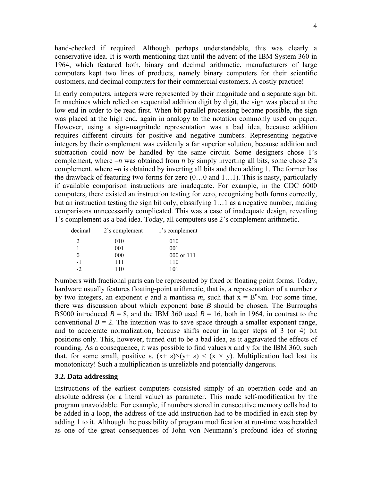hand-checked if required. Although perhaps understandable, this was clearly a conservative idea. It is worth mentioning that until the advent of the IBM System 360 in 1964, which featured both, binary and decimal arithmetic, manufacturers of large computers kept two lines of products, namely binary computers for their scientific customers, and decimal computers for their commercial customers. A costly practice!

In early computers, integers were represented by their magnitude and a separate sign bit. In machines which relied on sequential addition digit by digit, the sign was placed at the low end in order to be read first. When bit parallel processing became possible, the sign was placed at the high end, again in analogy to the notation commonly used on paper. However, using a sign-magnitude representation was a bad idea, because addition requires different circuits for positive and negative numbers. Representing negative integers by their complement was evidently a far superior solution, because addition and subtraction could now be handled by the same circuit. Some designers chose 1's complement, where  $-n$  was obtained from *n* by simply inverting all bits, some chose 2's complement, where *–n* is obtained by inverting all bits and then adding 1. The former has the drawback of featuring two forms for zero (0…0 and 1…1). This is nasty, particularly if available comparison instructions are inadequate. For example, in the CDC 6000 computers, there existed an instruction testing for zero, recognizing both forms correctly, but an instruction testing the sign bit only, classifying 1…1 as a negative number, making comparisons unnecessarily complicated. This was a case of inadequate design, revealing 1's complement as a bad idea. Today, all computers use 2's complement arithmetic.

| decimal                     | 2's complement | 1's complement |
|-----------------------------|----------------|----------------|
| $\mathcal{D}_{\mathcal{L}}$ | 010            | 010            |
|                             | 001            | 001            |
| $\theta$                    | 000            | 000 or 111     |
| $-1$                        | 111            | 110            |
| $\cdot$                     | 110            | 101            |

Numbers with fractional parts can be represented by fixed or floating point forms. Today, hardware usually features floating-point arithmetic, that is, a representation of a number *x* by two integers, an exponent *e* and a mantissa *m*, such that  $\bar{x} = B^e \times m$ . For some time, there was discussion about which exponent base *B* should be chosen. The Burroughs B5000 introduced  $B = 8$ , and the IBM 360 used  $B = 16$ , both in 1964, in contrast to the conventional  $B = 2$ . The intention was to save space through a smaller exponent range, and to accelerate normalization, because shifts occur in larger steps of 3 (or 4) bit positions only. This, however, turned out to be a bad idea, as it aggravated the effects of rounding. As a consequence, it was possible to find values x and y for the IBM 360, such that, for some small, positive  $\varepsilon$ ,  $(x+\varepsilon)\times(y+\varepsilon) < (x \times y)$ . Multiplication had lost its monotonicity! Such a multiplication is unreliable and potentially dangerous.

#### **3.2. Data addressing**

Instructions of the earliest computers consisted simply of an operation code and an absolute address (or a literal value) as parameter. This made self-modification by the program unavoidable. For example, if numbers stored in consecutive memory cells had to be added in a loop, the address of the add instruction had to be modified in each step by adding 1 to it. Although the possibility of program modification at run-time was heralded as one of the great consequences of John von Neumann's profound idea of storing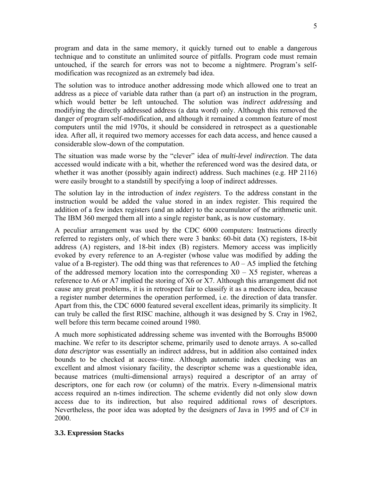program and data in the same memory, it quickly turned out to enable a dangerous technique and to constitute an unlimited source of pitfalls. Program code must remain untouched, if the search for errors was not to become a nightmere. Program's selfmodification was recognized as an extremely bad idea.

The solution was to introduce another addressing mode which allowed one to treat an address as a piece of variable data rather than (a part of) an instruction in the program, which would better be left untouched. The solution was *indirect addressin*g and modifying the directly addressed address (a data word) only. Although this removed the danger of program self-modification, and although it remained a common feature of most computers until the mid 1970s, it should be considered in retrospect as a questionable idea. After all, it required two memory accesses for each data access, and hence caused a considerable slow-down of the computation.

The situation was made worse by the "clever" idea of *multi-level indirection*. The data accessed would indicate with a bit, whether the referenced word was the desired data, or whether it was another (possibly again indirect) address. Such machines (e.g. HP 2116) were easily brought to a standstill by specifying a loop of indirect addresses.

The solution lay in the introduction of *index registers*. To the address constant in the instruction would be added the value stored in an index register. This required the addition of a few index registers (and an adder) to the accumulator of the arithmetic unit. The IBM 360 merged them all into a single register bank, as is now customary.

A peculiar arrangement was used by the CDC 6000 computers: Instructions directly referred to registers only, of which there were 3 banks: 60-bit data (X) registers, 18-bit address (A) registers, and 18-bit index (B) registers. Memory access was implicitly evoked by every reference to an A-register (whose value was modified by adding the value of a B-register). The odd thing was that references to  $A0 - A5$  implied the fetching of the addressed memory location into the corresponding  $X0 - X5$  register, whereas a reference to A6 or A7 implied the storing of X6 or X7. Although this arrangement did not cause any great problems, it is in retrospect fair to classify it as a mediocre idea, because a register number determines the operation performed, i.e. the direction of data transfer. Apart from this, the CDC 6000 featured several excellent ideas, primarily its simplicity. It can truly be called the first RISC machine, although it was designed by S. Cray in 1962, well before this term became coined around 1980.

A much more sophisticated addressing scheme was invented with the Borroughs B5000 machine. We refer to its descriptor scheme, primarily used to denote arrays. A so-called *data descriptor* was essentially an indirect address, but in addition also contained index bounds to be checked at access–time. Although automatic index checking was an excellent and almost visionary facility, the descriptor scheme was a questionable idea, because matrices (multi-dimensional arrays) required a descriptor of an array of descriptors, one for each row (or column) of the matrix. Every n-dimensional matrix access required an n-times indirection. The scheme evidently did not only slow down access due to its indirection, but also required additional rows of descriptors. Nevertheless, the poor idea was adopted by the designers of Java in 1995 and of  $C\#$  in 2000.

### **3.3. Expression Stacks**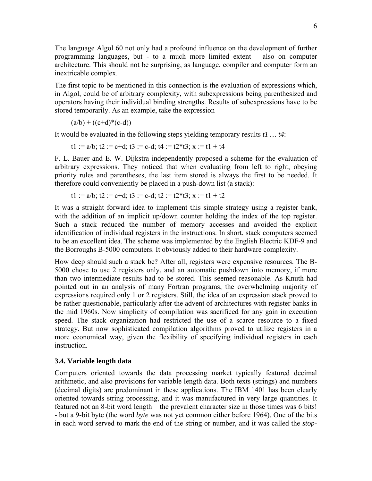The language Algol 60 not only had a profound influence on the development of further programming languages, but - to a much more limited extent – also on computer architecture. This should not be surprising, as language, compiler and computer form an inextricable complex.

The first topic to be mentioned in this connection is the evaluation of expressions which, in Algol, could be of arbitrary complexity, with subexpressions being parenthesized and operators having their individual binding strengths. Results of subexpressions have to be stored temporarily. As an example, take the expression

 $(a/b) + ((c+d)*(c-d))$ 

It would be evaluated in the following steps yielding temporary results *t1 … t4*:

t1 :=  $a/b$ ; t2 :=  $c+d$ ; t3 :=  $c-d$ ; t4 :=  $t2*t3$ ; x :=  $t1 + t4$ 

F. L. Bauer and E. W. Dijkstra independently proposed a scheme for the evaluation of arbitrary expressions. They noticed that when evaluating from left to right, obeying priority rules and parentheses, the last item stored is always the first to be needed. It therefore could conveniently be placed in a push-down list (a stack):

$$
t1 := a/b
$$
;  $t2 := c+d$ ;  $t3 := c-d$ ;  $t2 := t2*t3$ ;  $x := t1 + t2$ 

It was a straight forward idea to implement this simple strategy using a register bank, with the addition of an implicit up/down counter holding the index of the top register. Such a stack reduced the number of memory accesses and avoided the explicit identification of individual registers in the instructions. In short, stack computers seemed to be an excellent idea. The scheme was implemented by the English Electric KDF-9 and the Borroughs B-5000 computers. It obviously added to their hardware complexity.

How deep should such a stack be? After all, registers were expensive resources. The B-5000 chose to use 2 registers only, and an automatic pushdown into memory, if more than two intermediate results had to be stored. This seemed reasonable. As Knuth had pointed out in an analysis of many Fortran programs, the overwhelming majority of expressions required only 1 or 2 registers. Still, the idea of an expression stack proved to be rather questionable, particularly after the advent of architectures with register banks in the mid 1960s. Now simplicity of compilation was sacrificed for any gain in execution speed. The stack organization had restricted the use of a scarce resource to a fixed strategy. But now sophisticated compilation algorithms proved to utilize registers in a more economical way, given the flexibility of specifying individual registers in each **instruction** 

### **3.4. Variable length data**

Computers oriented towards the data processing market typically featured decimal arithmetic, and also provisions for variable length data. Both texts (strings) and numbers (decimal digits) are predominant in these applications. The IBM 1401 has been clearly oriented towards string processing, and it was manufactured in very large quantities. It featured not an 8-bit word length – the prevalent character size in those times was 6 bits! - but a 9-bit byte (the word *byte* was not yet common either before 1964). One of the bits in each word served to mark the end of the string or number, and it was called the *stop-*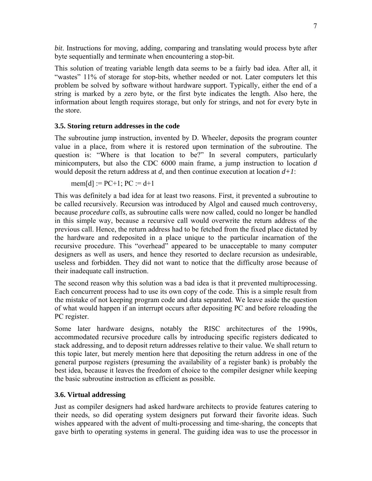*bit*. Instructions for moving, adding, comparing and translating would process byte after byte sequentially and terminate when encountering a stop-bit.

This solution of treating variable length data seems to be a fairly bad idea. After all, it "wastes" 11% of storage for stop-bits, whether needed or not. Later computers let this problem be solved by software without hardware support. Typically, either the end of a string is marked by a zero byte, or the first byte indicates the length. Also here, the information about length requires storage, but only for strings, and not for every byte in the store.

### **3.5. Storing return addresses in the code**

The subroutine jump instruction, invented by D. Wheeler, deposits the program counter value in a place, from where it is restored upon termination of the subroutine. The question is: "Where is that location to be?" In several computers, particularly minicomputers, but also the CDC 6000 main frame, a jump instruction to location *d* would deposit the return address at *d*, and then continue execution at location *d+1*:

 $mcm[d] := PC+1$ ;  $PC := d+1$ 

This was definitely a bad idea for at least two reasons. First, it prevented a subroutine to be called recursively. Recursion was introduced by Algol and caused much controversy, because *procedure calls*, as subroutine calls were now called, could no longer be handled in this simple way, because a recursive call would overwrite the return address of the previous call. Hence, the return address had to be fetched from the fixed place dictated by the hardware and redeposited in a place unique to the particular incarnation of the recursive procedure. This "overhead" appeared to be unacceptable to many computer designers as well as users, and hence they resorted to declare recursion as undesirable, useless and forbidden. They did not want to notice that the difficulty arose because of their inadequate call instruction.

The second reason why this solution was a bad idea is that it prevented multiprocessing. Each concurrent process had to use its own copy of the code. This is a simple result from the mistake of not keeping program code and data separated. We leave aside the question of what would happen if an interrupt occurs after depositing PC and before reloading the PC register.

Some later hardware designs, notably the RISC architectures of the 1990s, accommodated recursive procedure calls by introducing specific registers dedicated to stack addressing, and to deposit return addresses relative to their value. We shall return to this topic later, but merely mention here that depositing the return address in one of the general purpose registers (presuming the availability of a register bank) is probably the best idea, because it leaves the freedom of choice to the compiler designer while keeping the basic subroutine instruction as efficient as possible.

### **3.6. Virtual addressing**

Just as compiler designers had asked hardware architects to provide features catering to their needs, so did operating system designers put forward their favorite ideas. Such wishes appeared with the advent of multi-processing and time-sharing, the concepts that gave birth to operating systems in general. The guiding idea was to use the processor in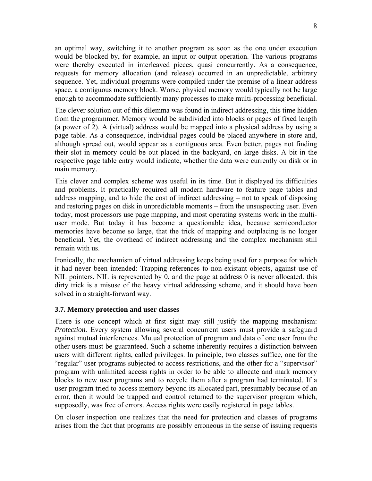an optimal way, switching it to another program as soon as the one under execution would be blocked by, for example, an input or output operation. The various programs were thereby executed in interleaved pieces, quasi concurrently. As a consequence, requests for memory allocation (and release) occurred in an unpredictable, arbitrary sequence. Yet, individual programs were compiled under the premise of a linear address space, a contiguous memory block. Worse, physical memory would typically not be large enough to accommodate sufficiently many processes to make multi-processing beneficial.

The clever solution out of this dilemma was found in indirect addressing, this time hidden from the programmer. Memory would be subdivided into blocks or pages of fixed length (a power of 2). A (virtual) address would be mapped into a physical address by using a page table. As a consequence, individual pages could be placed anywhere in store and, although spread out, would appear as a contiguous area. Even better, pages not finding their slot in memory could be out placed in the backyard, on large disks. A bit in the respective page table entry would indicate, whether the data were currently on disk or in main memory.

This clever and complex scheme was useful in its time. But it displayed its difficulties and problems. It practically required all modern hardware to feature page tables and address mapping, and to hide the cost of indirect addressing – not to speak of disposing and restoring pages on disk in unpredictable moments – from the unsuspecting user. Even today, most processors use page mapping, and most operating systems work in the multiuser mode. But today it has become a questionable idea, because semiconductor memories have become so large, that the trick of mapping and outplacing is no longer beneficial. Yet, the overhead of indirect addressing and the complex mechanism still remain with us.

Ironically, the mechamism of virtual addressing keeps being used for a purpose for which it had never been intended: Trapping references to non-existant objects, against use of NIL pointers. NIL is represented by 0, and the page at address 0 is never allocated. this dirty trick is a misuse of the heavy virtual addressing scheme, and it should have been solved in a straight-forward way.

### **3.7. Memory protection and user classes**

There is one concept which at first sight may still justify the mapping mechanism: *Protection.* Every system allowing several concurrent users must provide a safeguard against mutual interferences. Mutual protection of program and data of one user from the other users must be guaranteed. Such a scheme inherently requires a distinction between users with different rights, called privileges. In principle, two classes suffice, one for the "regular" user programs subjected to access restrictions, and the other for a "supervisor" program with unlimited access rights in order to be able to allocate and mark memory blocks to new user programs and to recycle them after a program had terminated. If a user program tried to access memory beyond its allocated part, presumably because of an error, then it would be trapped and control returned to the supervisor program which, supposedly, was free of errors. Access rights were easily registered in page tables.

On closer inspection one realizes that the need for protection and classes of programs arises from the fact that programs are possibly erroneous in the sense of issuing requests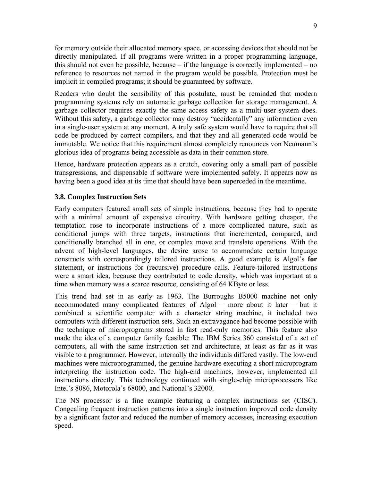for memory outside their allocated memory space, or accessing devices that should not be directly manipulated. If all programs were written in a proper programming language, this should not even be possible, because – if the language is correctly implemented – no reference to resources not named in the program would be possible. Protection must be implicit in compiled programs; it should be guaranteed by software.

Readers who doubt the sensibility of this postulate, must be reminded that modern programming systems rely on automatic garbage collection for storage management. A garbage collector requires exactly the same access safety as a multi-user system does. Without this safety, a garbage collector may destroy "accidentally" any information even in a single-user system at any moment. A truly safe system would have to require that all code be produced by correct compilers, and that they and all generated code would be immutable. We notice that this requirement almost completely renounces von Neumann's glorious idea of programs being accessible as data in their common store.

Hence, hardware protection appears as a crutch, covering only a small part of possible transgressions, and dispensable if software were implemented safely. It appears now as having been a good idea at its time that should have been superceded in the meantime.

### **3.8. Complex Instruction Sets**

Early computers featured small sets of simple instructions, because they had to operate with a minimal amount of expensive circuitry. With hardware getting cheaper, the temptation rose to incorporate instructions of a more complicated nature, such as conditional jumps with three targets, instructions that incremented, compared, and conditionally branched all in one, or complex move and translate operations. With the advent of high-level languages, the desire arose to accommodate certain language constructs with correspondingly tailored instructions. A good example is Algol's **for** statement, or instructions for (recursive) procedure calls. Feature-tailored instructions were a smart idea, because they contributed to code density, which was important at a time when memory was a scarce resource, consisting of 64 KByte or less.

This trend had set in as early as 1963. The Burroughs B5000 machine not only accommodated many complicated features of Algol – more about it later – but it combined a scientific computer with a character string machine, it included two computers with different instruction sets. Such an extravagance had become possible with the technique of microprograms stored in fast read-only memories. This feature also made the idea of a computer family feasible: The IBM Series 360 consisted of a set of computers, all with the same instruction set and architecture, at least as far as it was visible to a programmer. However, internally the individuals differed vastly. The low-end machines were microprogrammed, the genuine hardware executing a short microprogram interpreting the instruction code. The high-end machines, however, implemented all instructions directly. This technology continued with single-chip microprocessors like Intel's 8086, Motorola's 68000, and National's 32000.

The NS processor is a fine example featuring a complex instructions set (CISC). Congealing frequent instruction patterns into a single instruction improved code density by a significant factor and reduced the number of memory accesses, increasing execution speed.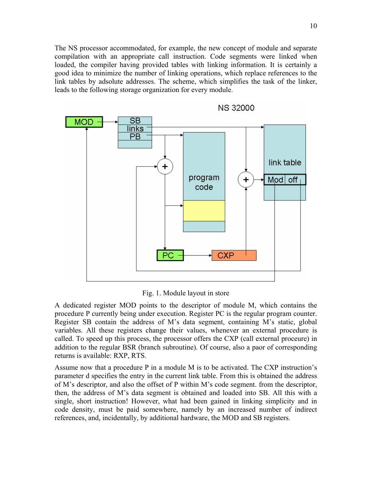The NS processor accommodated, for example, the new concept of module and separate compilation with an appropriate call instruction. Code segments were linked when loaded, the compiler having provided tables with linking information. It is certainly a good idea to minimize the number of linking operations, which replace references to the link tables by adsolute addresses. The scheme, which simplifies the task of the linker, leads to the following storage organization for every module.



Fig. 1. Module layout in store

A dedicated register MOD points to the descriptor of module M, which contains the procedure P currently being under execution. Register PC is the regular program counter. Register SB contain the address of M's data segment, containing M's static, global variables. All these registers change their values, whenever an external procedure is called. To speed up this process, the processor offers the CXP (call external proceure) in addition to the regular BSR (branch subroutine). Of course, also a paor of corresponding returns is available: RXP, RTS.

Assume now that a procedure P in a module M is to be activated. The CXP instruction's parameter d specifies the entry in the current link table. From this is obtained the address of M's descriptor, and also the offset of P within M's code segment. from the descriptor, then, the address of M's data segment is obtained and loaded into SB. All this with a single, short instruction! However, what had been gained in linking simplicity and in code density, must be paid somewhere, namely by an increased number of indirect references, and, incidentally, by additional hardware, the MOD and SB registers.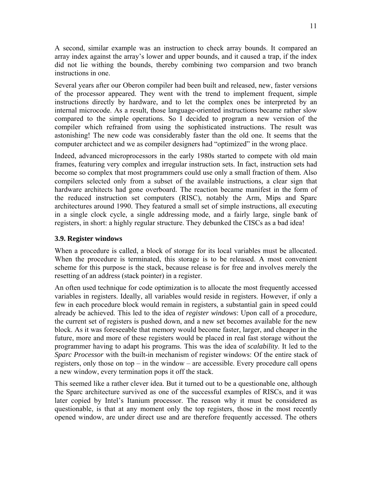A second, similar example was an instruction to check array bounds. It compared an array index against the array's lower and upper bounds, and it caused a trap, if the index did not lie withing the bounds, thereby combining two comparsion and two branch instructions in one.

Several years after our Oberon compiler had been built and released, new, faster versions of the processor appeared. They went with the trend to implement frequent, simple instructions directly by hardware, and to let the complex ones be interpreted by an internal microcode. As a result, those language-oriented instructions became rather slow compared to the simple operations. So I decided to program a new version of the compiler which refrained from using the sophisticated instructions. The result was astonishing! The new code was considerably faster than the old one. It seems that the computer archictect and we as compiler designers had "optimized" in the wrong place.

Indeed, advanced microprocessors in the early 1980s started to compete with old main frames, featuring very complex and irregular instruction sets. In fact, instruction sets had become so complex that most programmers could use only a small fraction of them. Also compilers selected only from a subset of the available instructions, a clear sign that hardware architects had gone overboard. The reaction became manifest in the form of the reduced instruction set computers (RISC), notably the Arm, Mips and Sparc architectures around 1990. They featured a small set of simple instructions, all executing in a single clock cycle, a single addressing mode, and a fairly large, single bank of registers, in short: a highly regular structure. They debunked the CISCs as a bad idea!

### **3.9. Register windows**

When a procedure is called, a block of storage for its local variables must be allocated. When the procedure is terminated, this storage is to be released. A most convenient scheme for this purpose is the stack, because release is for free and involves merely the resetting of an address (stack pointer) in a register.

An often used technique for code optimization is to allocate the most frequently accessed variables in registers. Ideally, all variables would reside in registers. However, if only a few in each procedure block would remain in registers, a substantial gain in speed could already be achieved. This led to the idea of *register windows*: Upon call of a procedure, the current set of registers is pushed down, and a new set becomes available for the new block. As it was foreseeable that memory would become faster, larger, and cheaper in the future, more and more of these registers would be placed in real fast storage without the programmer having to adapt his programs. This was the idea of *scalability*. It led to the *Sparc Processor* with the built-in mechanism of register windows: Of the entire stack of registers, only those on top – in the window – are accessible. Every procedure call opens a new window, every termination pops it off the stack.

This seemed like a rather clever idea. But it turned out to be a questionable one, although the Sparc architecture survived as one of the successful examples of RISCs, and it was later copied by Intel's Itanium processor. The reason why it must be considered as questionable, is that at any moment only the top registers, those in the most recently opened window, are under direct use and are therefore frequently accessed. The others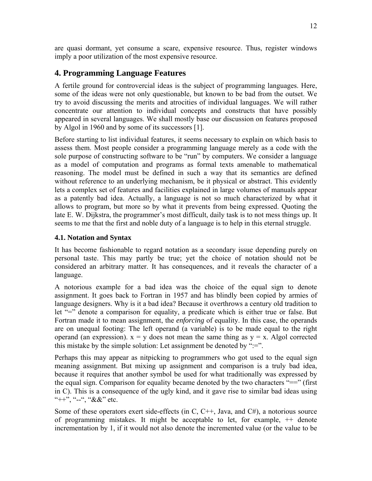are quasi dormant, yet consume a scare, expensive resource. Thus, register windows imply a poor utilization of the most expensive resource.

# **4. Programming Language Features**

A fertile ground for controvercial ideas is the subject of programming languages. Here, some of the ideas were not only questionable, but known to be bad from the outset. We try to avoid discussing the merits and atrocities of individual languages. We will rather concentrate our attention to individual concepts and constructs that have possibly appeared in several languages. We shall mostly base our discussion on features proposed by Algol in 1960 and by some of its successors [1].

Before starting to list individual features, it seems necessary to explain on which basis to assess them. Most people consider a programming language merely as a code with the sole purpose of constructing software to be "run" by computers. We consider a language as a model of computation and programs as formal texts amenable to mathematical reasoning. The model must be defined in such a way that its semantics are defined without reference to an underlying mechanism, be it physical or abstract. This evidently lets a complex set of features and facilities explained in large volumes of manuals appear as a patently bad idea. Actually, a language is not so much characterized by what it allows to program, but more so by what it prevents from being expressed. Quoting the late E. W. Dijkstra, the programmer's most difficult, daily task is to not mess things up. It seems to me that the first and noble duty of a language is to help in this eternal struggle.

### **4.1. Notation and Syntax**

It has become fashionable to regard notation as a secondary issue depending purely on personal taste. This may partly be true; yet the choice of notation should not be considered an arbitrary matter. It has consequences, and it reveals the character of a language.

A notorious example for a bad idea was the choice of the equal sign to denote assignment. It goes back to Fortran in 1957 and has blindly been copied by armies of language designers. Why is it a bad idea? Because it overthrows a century old tradition to let "=" denote a comparison for equality, a predicate which is either true or false. But Fortran made it to mean assignment, the *enforcing* of equality. In this case, the operands are on unequal footing: The left operand (a variable) is to be made equal to the right operand (an expression).  $x = y$  does not mean the same thing as  $y = x$ . Algol corrected this mistake by the simple solution: Let assignment be denoted by " $:=$ ".

Perhaps this may appear as nitpicking to programmers who got used to the equal sign meaning assignment. But mixing up assignment and comparison is a truly bad idea, because it requires that another symbol be used for what traditionally was expressed by the equal sign. Comparison for equality became denoted by the two characters "==" (first in C). This is a consequence of the ugly kind, and it gave rise to similar bad ideas using "++", "--", " $&x$ " etc.

Some of these operators exert side-effects (in C,  $C++$ , Java, and  $C#$ ), a notorious source of programming mistakes. It might be acceptable to let, for example, ++ denote incrementation by 1, if it would not also denote the incremented value (or the value to be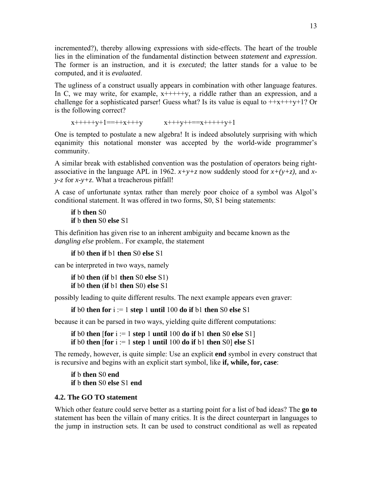incremented?), thereby allowing expressions with side-effects. The heart of the trouble lies in the elimination of the fundamental distinction between *statement* and *expression*. The former is an instruction, and it is *executed*; the latter stands for a value to be computed, and it is *evaluated*.

The ugliness of a construct usually appears in combination with other language features. In C, we may write, for example,  $x$ +++++ $y$ , a riddle rather than an expression, and a challenge for a sophisticated parser! Guess what? Is its value is equal to  $+x+++y+1$ ? Or is the following correct?

```
x+++++y+1==++x+++y x+++y++==x+++++y+1
```
One is tempted to postulate a new algebra! It is indeed absolutely surprising with which eqanimity this notational monster was accepted by the world-wide programmer's community.

A similar break with established convention was the postulation of operators being rightassociative in the language APL in 1962.  $x+y+z$  now suddenly stood for  $x+(y+z)$ , and  $x$ *y-z* for *x-y+z*. What a treacherous pitfall!

A case of unfortunate syntax rather than merely poor choice of a symbol was Algol's conditional statement. It was offered in two forms, S0, S1 being statements:

```
if b then S0 
if b then S0 else S1
```
This definition has given rise to an inherent ambiguity and became known as the *dangling else* problem.. For example, the statement

**if** b0 **then if** b1 **then** S0 **else** S1

can be interpreted in two ways, namely

```
if b0 then (if b1 then S0 else S1) 
if b0 then (if b1 then S0) else S1
```
possibly leading to quite different results. The next example appears even graver:

**if** b0 **then for** i := 1 **step** 1 **until** 100 **do if** b1 **then** S0 **else** S1

because it can be parsed in two ways, yielding quite different computations:

```
if b0 then [for i := 1 step 1 until 100 do if b1 then S0 else S1] 
if b0 then [for i := 1 step 1 until 100 do if b1 then S0] else S1
```
The remedy, however, is quite simple: Use an explicit **end** symbol in every construct that is recursive and begins with an explicit start symbol, like **if, while, for, case**:

**if** b **then** S0 **end if** b **then** S0 **else** S1 **end**

### **4.2. The GO TO statement**

Which other feature could serve better as a starting point for a list of bad ideas? The **go to** statement has been the villain of many critics. It is the direct counterpart in languages to the jump in instruction sets. It can be used to construct conditional as well as repeated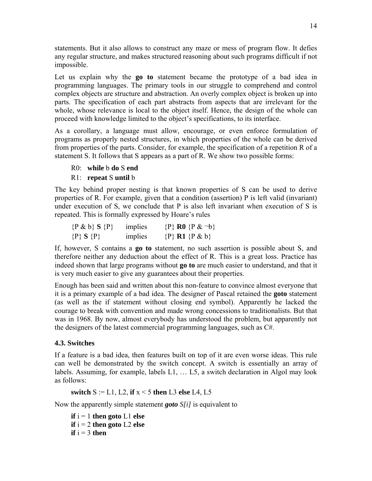statements. But it also allows to construct any maze or mess of program flow. It defies any regular structure, and makes structured reasoning about such programs difficult if not impossible.

Let us explain why the **go to** statement became the prototype of a bad idea in programming languages. The primary tools in our struggle to comprehend and control complex objects are structure and abstraction. An overly complex object is broken up into parts. The specification of each part abstracts from aspects that are irrelevant for the whole, whose relevance is local to the object itself. Hence, the design of the whole can proceed with knowledge limited to the object's specifications, to its interface.

As a corollary, a language must allow, encourage, or even enforce formulation of programs as properly nested structures, in which properties of the whole can be derived from properties of the parts. Consider, for example, the specification of a repetition R of a statement S. It follows that S appears as a part of R. We show two possible forms:

R0: **while** b **do** S **end**

### R1: **repeat** S **until** b

The key behind proper nesting is that known properties of S can be used to derive properties of R. For example, given that a condition (assertion) P is left valid (invariant) under execution of S, we conclude that P is also left invariant when execution of S is repeated. This is formally expressed by Hoare's rules

| $\{P \& b\} S \{P\}$ | implies | $\{P\}$ R <sub>0</sub> $\{P \& \neg b\}$ |
|----------------------|---------|------------------------------------------|
| $\{P\} S \{P\}$      | implies | $\{P\}$ R1 $\{P \& b\}$                  |

If, however, S contains a **go to** statement, no such assertion is possible about S, and therefore neither any deduction about the effect of R. This is a great loss. Practice has indeed shown that large programs without **go to** are much easier to understand, and that it is very much easier to give any guarantees about their properties.

Enough has been said and written about this non-feature to convince almost everyone that it is a primary example of a bad idea. The designer of Pascal retained the **goto** statement (as well as the if statement without closing end symbol). Apparently he lacked the courage to break with convention and made wrong concessions to traditionalists. But that was in 1968. By now, almost everybody has understood the problem, but apparently not the designers of the latest commercial programming languages, such as C#.

### **4.3. Switches**

If a feature is a bad idea, then features built on top of it are even worse ideas. This rule can well be demonstrated by the switch concept. A switch is essentially an array of labels. Assuming, for example, labels L1, … L5, a switch declaration in Algol may look as follows:

**switch** S := L1, L2, **if** x < 5 **then** L3 **else** L4, L5

Now the apparently simple statement *goto S[i]* is equivalent to

**if**  $i = 1$  **then goto**  $L1$  **else if**  $i = 2$  **then goto** L2 **else**  $\mathbf{if} \mathbf{i} = 3$  **then**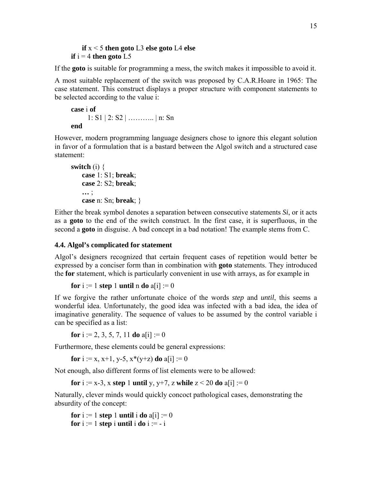#### **if** x < 5 **then goto** L3 **else goto** L4 **else if**  $i = 4$  **then goto** L5

If the **goto** is suitable for programming a mess, the switch makes it impossible to avoid it.

A most suitable replacement of the switch was proposed by C.A.R.Hoare in 1965: The case statement. This construct displays a proper structure with component statements to be selected according to the value i:

```
case i of
       1: S1 | 2: S2 | ……….. | n: Sn 
end
```
However, modern programming language designers chose to ignore this elegant solution in favor of a formulation that is a bastard between the Algol switch and a structured case statement:

```
switch (i) { 
    case 1: S1; break; 
    case 2: S2; break; 
    … ; 
    case n: Sn; break; }
```
Either the break symbol denotes a separation between consecutive statements *Si*, or it acts as a **goto** to the end of the switch construct. In the first case, it is superfluous, in the second a **goto** in disguise. A bad concept in a bad notation! The example stems from C.

## **4.4. Algol's complicated for statement**

Algol's designers recognized that certain frequent cases of repetition would better be expressed by a conciser form than in combination with **goto** statements. They introduced the **for** statement, which is particularly convenient in use with arrays, as for example in

```
for i := 1 step 1 until n do a[i] := 0
```
If we forgive the rather unfortunate choice of the words *step* and *until*, this seems a wonderful idea. Unfortunately, the good idea was infected with a bad idea, the idea of imaginative generality. The sequence of values to be assumed by the control variable i can be specified as a list:

**for**  $i := 2, 3, 5, 7, 11$  **do**  $a[i] := 0$ 

Furthermore, these elements could be general expressions:

**for** i := x, x+1, y-5,  $x*(y+z)$  **do** a[i] := 0

Not enough, also different forms of list elements were to be allowed:

```
for i := x-3, x step 1 until y, y+7, z while z < 20 do a[i] := 0
```
Naturally, clever minds would quickly concoct pathological cases, demonstrating the absurdity of the concept:

**for**  $i := 1$  **step** 1 **until**  $i$  **do**  $a[i] := 0$ **for**  $i := 1$  **step** i **until** i **do**  $i := -i$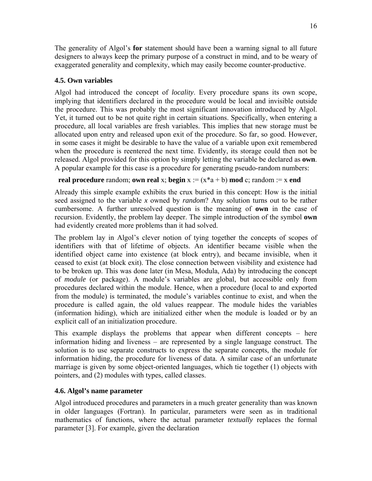The generality of Algol's **for** statement should have been a warning signal to all future designers to always keep the primary purpose of a construct in mind, and to be weary of exaggerated generality and complexity, which may easily become counter-productive.

## **4.5. Own variables**

Algol had introduced the concept of *locality*. Every procedure spans its own scope, implying that identifiers declared in the procedure would be local and invisible outside the procedure. This was probably the most significant innovation introduced by Algol. Yet, it turned out to be not quite right in certain situations. Specifically, when entering a procedure, all local variables are fresh variables. This implies that new storage must be allocated upon entry and released upon exit of the procedure. So far, so good. However, in some cases it might be desirable to have the value of a variable upon exit remembered when the procedure is reentered the next time. Evidently, its storage could then not be released. Algol provided for this option by simply letting the variable be declared as **own**. A popular example for this case is a procedure for generating pseudo-random numbers:

## **real procedure** random; **own real** x; **begin**  $x := (x^*a + b) \mod c$ ; random := x **end**

Already this simple example exhibits the crux buried in this concept: How is the initial seed assigned to the variable *x* owned by *random*? Any solution turns out to be rather cumbersome. A further unresolved question is the meaning of **own** in the case of recursion. Evidently, the problem lay deeper. The simple introduction of the symbol **own** had evidently created more problems than it had solved.

The problem lay in Algol's clever notion of tying together the concepts of scopes of identifiers with that of lifetime of objects. An identifier became visible when the identified object came into existence (at block entry), and became invisible, when it ceased to exist (at block exit). The close connection between visibility and existence had to be broken up. This was done later (in Mesa, Modula, Ada) by introducing the concept of *module* (or package). A module's variables are global, but accessible only from procedures declared within the module. Hence, when a procedure (local to and exported from the module) is terminated, the module's variables continue to exist, and when the procedure is called again, the old values reappear. The module hides the variables (information hiding), which are initialized either when the module is loaded or by an explicit call of an initialization procedure.

This example displays the problems that appear when different concepts – here information hiding and liveness – are represented by a single language construct. The solution is to use separate constructs to express the separate concepts, the module for information hiding, the procedure for liveness of data. A similar case of an unfortunate marriage is given by some object-oriented languages, which tie together (1) objects with pointers, and (2) modules with types, called classes.

## **4.6. Algol's name parameter**

Algol introduced procedures and parameters in a much greater generality than was known in older languages (Fortran). In particular, parameters were seen as in traditional mathematics of functions, where the actual parameter *textually* replaces the formal parameter [3]. For example, given the declaration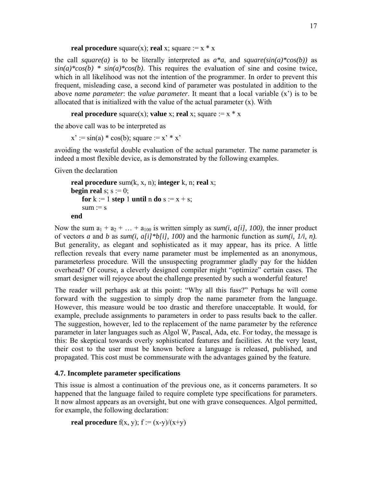**real procedure** square(x); **real** x; square  $:= x * x$ 

the call *square(a)* is to be literally interpreted as  $a^*a$ , and *square(sin(a)\*cos(b))* as  $sin(a)*cos(b) * sin(a)*cos(b)$ . This requires the evaluation of sine and cosine twice, which in all likelihood was not the intention of the programmer. In order to prevent this frequent, misleading case, a second kind of parameter was postulated in addition to the above *name parameter*: the *value parameter*. It meant that a local variable (x') is to be allocated that is initialized with the value of the actual parameter (x). With

```
real procedure square(x); value x; real x; square := x * x
```
the above call was to be interpreted as

 $x' := \sin(a) * \cos(b)$ ; square :=  $x' * x'$ 

avoiding the wasteful double evaluation of the actual parameter. The name parameter is indeed a most flexible device, as is demonstrated by the following examples.

Given the declaration

```
real procedure sum(k, x, n); integer k, n; real x; 
begin real s; s := 0;
   for k := 1 step 1 until n do s := x + s;
   sum := send
```
Now the sum  $a_1 + a_2 + ... + a_{100}$  is written simply as *sum(i, a[i], 100)*, the inner product of vectors *a* and *b* as *sum(i, a[i]\*b[i], 100)* and the harmonic function as *sum(i, 1/i, n).*  But generality, as elegant and sophisticated as it may appear, has its price. A little reflection reveals that every name parameter must be implemented as an anonymous, parameterless procedure. Will the unsuspecting programmer gladly pay for the hidden overhead? Of course, a cleverly designed compiler might "optimize" certain cases. The smart designer will rejoyce about the challenge presented by such a wonderful feature!

The reader will perhaps ask at this point: "Why all this fuss?" Perhaps he will come forward with the suggestion to simply drop the name parameter from the language. However, this measure would be too drastic and therefore unacceptable. It would, for example, preclude assignments to parameters in order to pass results back to the caller. The suggestion, however, led to the replacement of the name parameter by the reference parameter in later languages such as Algol W, Pascal, Ada, etc. For today, the message is this: Be skeptical towards overly sophisticated features and facilities. At the very least, their cost to the user must be known before a language is released, published, and propagated. This cost must be commensurate with the advantages gained by the feature.

## **4.7. Incomplete parameter specifications**

This issue is almost a continuation of the previous one, as it concerns parameters. It so happened that the language failed to require complete type specifications for parameters. It now almost appears as an oversight, but one with grave consequences. Algol permitted, for example, the following declaration:

**real procedure**  $f(x, y)$ ;  $f := (x-y)/(x+y)$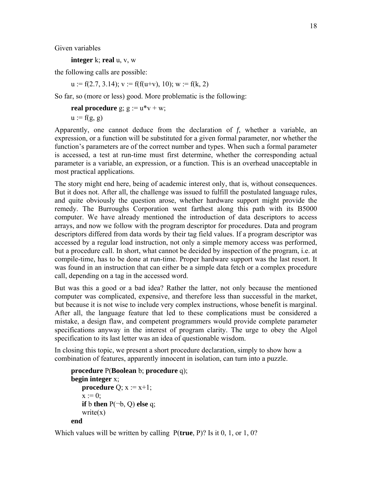Given variables

**integer** k; **real** u, v, w

the following calls are possible:

 $u := f(2.7, 3.14); v := f(f(u+v), 10); w := f(k, 2)$ 

So far, so (more or less) good. More problematic is the following:

```
real procedure g; g := u * v + w;
u := f(g, g)
```
Apparently, one cannot deduce from the declaration of *f*, whether a variable, an expression, or a function will be substituted for a given formal parameter, nor whether the function's parameters are of the correct number and types. When such a formal parameter is accessed, a test at run-time must first determine, whether the corresponding actual parameter is a variable, an expression, or a function. This is an overhead unacceptable in most practical applications.

The story might end here, being of academic interest only, that is, without consequences. But it does not. After all, the challenge was issued to fulfill the postulated language rules, and quite obviously the question arose, whether hardware support might provide the remedy. The Burroughs Corporation went farthest along this path with its B5000 computer. We have already mentioned the introduction of data descriptors to access arrays, and now we follow with the program descriptor for procedures. Data and program descriptors differed from data words by their tag field values. If a program descriptor was accessed by a regular load instruction, not only a simple memory access was performed, but a procedure call. In short, what cannot be decided by inspection of the program, i.e. at compile-time, has to be done at run-time. Proper hardware support was the last resort. It was found in an instruction that can either be a simple data fetch or a complex procedure call, depending on a tag in the accessed word.

But was this a good or a bad idea? Rather the latter, not only because the mentioned computer was complicated, expensive, and therefore less than successful in the market, but because it is not wise to include very complex instructions, whose benefit is marginal. After all, the language feature that led to these complications must be considered a mistake, a design flaw, and competent programmers would provide complete parameter specifications anyway in the interest of program clarity. The urge to obey the Algol specification to its last letter was an idea of questionable wisdom.

In closing this topic, we present a short procedure declaration, simply to show how a combination of features, apparently innocent in isolation, can turn into a puzzle.

```
procedure P(Boolean b; procedure q); 
begin integer x; 
   procedure Q; x := x+1;
   x := 0:
   if b then P(\neg b, Q) else q;
   write(x)end
```
Which values will be written by calling P(**true**, P)? Is it 0, 1, or 1, 0?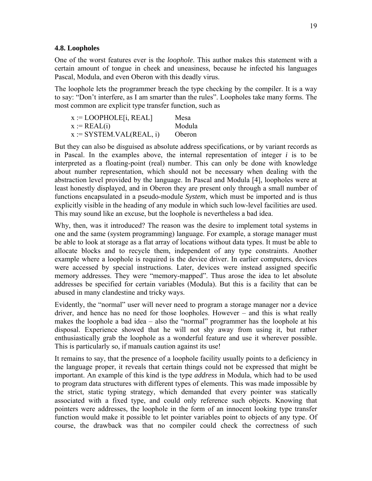#### **4.8. Loopholes**

One of the worst features ever is the *loophole*. This author makes this statement with a certain amount of tongue in cheek and uneasiness, because he infected his languages Pascal, Modula, and even Oberon with this deadly virus.

The loophole lets the programmer breach the type checking by the compiler. It is a way to say: "Don't interfere, as I am smarter than the rules". Loopholes take many forms. The most common are explicit type transfer function, such as

| $x :=$ LOOPHOLE[i, REAL]   | Mesa   |
|----------------------------|--------|
| $x := REAL(i)$             | Modula |
| $x := SYSTEM.VAL(REAL, i)$ | Oberon |

But they can also be disguised as absolute address specifications, or by variant records as in Pascal. In the examples above, the internal representation of integer *i* is to be interpreted as a floating-point (real) number. This can only be done with knowledge about number representation, which should not be necessary when dealing with the abstraction level provided by the language. In Pascal and Modula [4], loopholes were at least honestly displayed, and in Oberon they are present only through a small number of functions encapsulated in a pseudo-module *System*, which must be imported and is thus explicitly visible in the heading of any module in which such low-level facilities are used. This may sound like an excuse, but the loophole is nevertheless a bad idea.

Why, then, was it introduced? The reason was the desire to implement total systems in one and the same (system programming) language. For example, a storage manager must be able to look at storage as a flat array of locations without data types. It must be able to allocate blocks and to recycle them, independent of any type constraints. Another example where a loophole is required is the device driver. In earlier computers, devices were accessed by special instructions. Later, devices were instead assigned specific memory addresses. They were "memory-mapped". Thus arose the idea to let absolute addresses be specified for certain variables (Modula). But this is a facility that can be abused in many clandestine and tricky ways.

Evidently, the "normal" user will never need to program a storage manager nor a device driver, and hence has no need for those loopholes. However – and this is what really makes the loophole a bad idea – also the "normal" programmer has the loophole at his disposal. Experience showed that he will not shy away from using it, but rather enthusiastically grab the loophole as a wonderful feature and use it wherever possible. This is particularly so, if manuals caution against its use!

It remains to say, that the presence of a loophole facility usually points to a deficiency in the language proper, it reveals that certain things could not be expressed that might be important. An example of this kind is the type *address* in Modula, which had to be used to program data structures with different types of elements. This was made impossible by the strict, static typing strategy, which demanded that every pointer was statically associated with a fixed type, and could only reference such objects. Knowing that pointers were addresses, the loophole in the form of an innocent looking type transfer function would make it possible to let pointer variables point to objects of any type. Of course, the drawback was that no compiler could check the correctness of such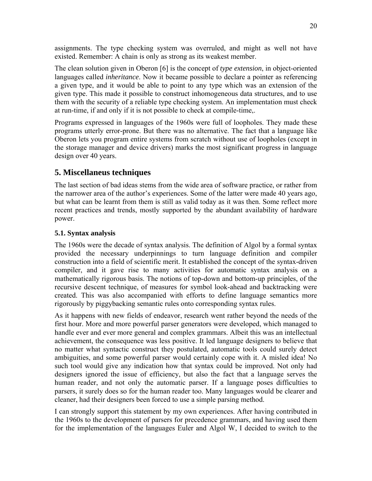assignments. The type checking system was overruled, and might as well not have existed. Remember: A chain is only as strong as its weakest member.

The clean solution given in Oberon [6] is the concept of *type extension*, in object-oriented languages called *inheritance*. Now it became possible to declare a pointer as referencing a given type, and it would be able to point to any type which was an extension of the given type. This made it possible to construct inhomogeneous data structures, and to use them with the security of a reliable type checking system. An implementation must check at run-time, if and only if it is not possible to check at compile-time,.

Programs expressed in languages of the 1960s were full of loopholes. They made these programs utterly error-prone. But there was no alternative. The fact that a language like Oberon lets you program entire systems from scratch without use of loopholes (except in the storage manager and device drivers) marks the most significant progress in language design over 40 years.

# **5. Miscellaneus techniques**

The last section of bad ideas stems from the wide area of software practice, or rather from the narrower area of the author's experiences. Some of the latter were made 40 years ago, but what can be learnt from them is still as valid today as it was then. Some reflect more recent practices and trends, mostly supported by the abundant availability of hardware power.

### **5.1. Syntax analysis**

The 1960s were the decade of syntax analysis. The definition of Algol by a formal syntax provided the necessary underpinnings to turn language definition and compiler construction into a field of scientific merit. It established the concept of the syntax-driven compiler, and it gave rise to many activities for automatic syntax analysis on a mathematically rigorous basis. The notions of top-down and bottom-up principles, of the recursive descent technique, of measures for symbol look-ahead and backtracking were created. This was also accompanied with efforts to define language semantics more rigorously by piggybacking semantic rules onto corresponding syntax rules.

As it happens with new fields of endeavor, research went rather beyond the needs of the first hour. More and more powerful parser generators were developed, which managed to handle ever and ever more general and complex grammars. Albeit this was an intellectual achievement, the consequence was less positive. It led language designers to believe that no matter what syntactic construct they postulated, automatic tools could surely detect ambiguities, and some powerful parser would certainly cope with it. A misled idea! No such tool would give any indication how that syntax could be improved. Not only had designers ignored the issue of efficiency, but also the fact that a language serves the human reader, and not only the automatic parser. If a language poses difficulties to parsers, it surely does so for the human reader too. Many languages would be clearer and cleaner, had their designers been forced to use a simple parsing method.

I can strongly support this statement by my own experiences. After having contributed in the 1960s to the development of parsers for precedence grammars, and having used them for the implementation of the languages Euler and Algol W, I decided to switch to the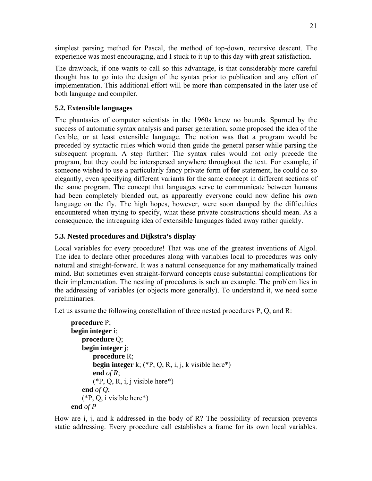simplest parsing method for Pascal, the method of top-down, recursive descent. The experience was most encouraging, and I stuck to it up to this day with great satisfaction.

The drawback, if one wants to call so this advantage, is that considerably more careful thought has to go into the design of the syntax prior to publication and any effort of implementation. This additional effort will be more than compensated in the later use of both language and compiler.

### **5.2. Extensible languages**

The phantasies of computer scientists in the 1960s knew no bounds. Spurned by the success of automatic syntax analysis and parser generation, some proposed the idea of the flexible, or at least extensible language. The notion was that a program would be preceded by syntactic rules which would then guide the general parser while parsing the subsequent program. A step further: The syntax rules would not only precede the program, but they could be interspersed anywhere throughout the text. For example, if someone wished to use a particularly fancy private form of **for** statement, he could do so elegantly, even specifying different variants for the same concept in different sections of the same program. The concept that languages serve to communicate between humans had been completely blended out, as apparently everyone could now define his own language on the fly. The high hopes, however, were soon damped by the difficulties encountered when trying to specify, what these private constructions should mean. As a consequence, the intreaguing idea of extensible languages faded away rather quickly.

### **5.3. Nested procedures and Dijkstra's display**

Local variables for every procedure! That was one of the greatest inventions of Algol. The idea to declare other procedures along with variables local to procedures was only natural and straight-forward. It was a natural consequence for any mathematically trained mind. But sometimes even straight-forward concepts cause substantial complications for their implementation. The nesting of procedures is such an example. The problem lies in the addressing of variables (or objects more generally). To understand it, we need some preliminaries.

Let us assume the following constellation of three nested procedures P, Q, and R:

```
procedure P; 
begin integer i; 
    procedure Q; 
    begin integer j; 
         procedure R; 
         begin integer k; (*P, Q, R, i, j, k visible here*) 
         end of R; 
         (*P, Q, R, i, j visible here*) 
    end of Q; 
    (*P, Q, i visible here*) 
end of P
```
How are i, j, and k addressed in the body of R? The possibility of recursion prevents static addressing. Every procedure call establishes a frame for its own local variables.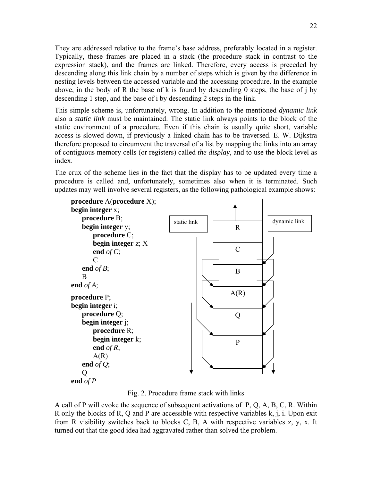They are addressed relative to the frame's base address, preferably located in a register. Typically, these frames are placed in a stack (the procedure stack in contrast to the expression stack), and the frames are linked. Therefore, every access is preceded by descending along this link chain by a number of steps which is given by the difference in nesting levels between the accessed variable and the accessing procedure. In the example above, in the body of R the base of k is found by descending 0 steps, the base of j by descending 1 step, and the base of i by descending 2 steps in the link.

This simple scheme is, unfortunately, wrong. In addition to the mentioned *dynamic link* also a *static link* must be maintained. The static link always points to the block of the static environment of a procedure. Even if this chain is usually quite short, variable access is slowed down, if previously a linked chain has to be traversed. E. W. Dijkstra therefore proposed to circumvent the traversal of a list by mapping the links into an array of contiguous memory cells (or registers) called *the display*, and to use the block level as index.

The crux of the scheme lies in the fact that the display has to be updated every time a procedure is called and, unfortunately, sometimes also when it is terminated. Such updates may well involve several registers, as the following pathological example shows:



Fig. 2. Procedure frame stack with links

A call of P will evoke the sequence of subsequent activations of P, Q, A, B, C, R. Within R only the blocks of R, Q and P are accessible with respective variables k, j, i. Upon exit from R visibility switches back to blocks C, B, A with respective variables z, y, x. It turned out that the good idea had aggravated rather than solved the problem.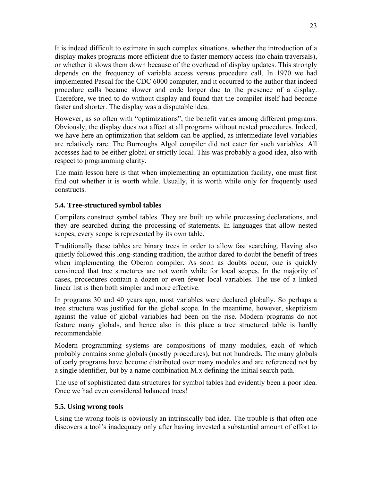It is indeed difficult to estimate in such complex situations, whether the introduction of a display makes programs more efficient due to faster memory access (no chain traversals), or whether it slows them down because of the overhead of display updates. This strongly depends on the frequency of variable access versus procedure call. In 1970 we had implemented Pascal for the CDC 6000 computer, and it occurred to the author that indeed procedure calls became slower and code longer due to the presence of a display. Therefore, we tried to do without display and found that the compiler itself had become faster and shorter. The display was a disputable idea.

However, as so often with "optimizations", the benefit varies among different programs. Obviously, the display does *not* affect at all programs without nested procedures. Indeed, we have here an optimization that seldom can be applied, as intermediate level variables are relatively rare. The Burroughs Algol compiler did not cater for such variables. All accesses had to be either global or strictly local. This was probably a good idea, also with respect to programming clarity.

The main lesson here is that when implementing an optimization facility, one must first find out whether it is worth while. Usually, it is worth while only for frequently used constructs.

### **5.4. Tree-structured symbol tables**

Compilers construct symbol tables. They are built up while processing declarations, and they are searched during the processing of statements. In languages that allow nested scopes, every scope is represented by its own table.

Traditionally these tables are binary trees in order to allow fast searching. Having also quietly followed this long-standing tradition, the author dared to doubt the benefit of trees when implementing the Oberon compiler. As soon as doubts occur, one is quickly convinced that tree structures are not worth while for local scopes. In the majority of cases, procedures contain a dozen or even fewer local variables. The use of a linked linear list is then both simpler and more effective.

In programs 30 and 40 years ago, most variables were declared globally. So perhaps a tree structure was justified for the global scope. In the meantime, however, skeptizism against the value of global variables had been on the rise. Modern programs do not feature many globals, and hence also in this place a tree structured table is hardly recommendable.

Modern programming systems are compositions of many modules, each of which probably contains some globals (mostly procedures), but not hundreds. The many globals of early programs have become distributed over many modules and are referenced not by a single identifier, but by a name combination M.x defining the initial search path.

The use of sophisticated data structures for symbol tables had evidently been a poor idea. Once we had even considered balanced trees!

### **5.5. Using wrong tools**

Using the wrong tools is obviously an intrinsically bad idea. The trouble is that often one discovers a tool's inadequacy only after having invested a substantial amount of effort to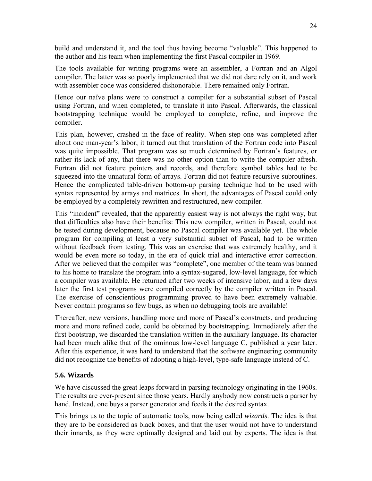build and understand it, and the tool thus having become "valuable". This happened to the author and his team when implementing the first Pascal compiler in 1969.

The tools available for writing programs were an assembler, a Fortran and an Algol compiler. The latter was so poorly implemented that we did not dare rely on it, and work with assembler code was considered dishonorable. There remained only Fortran.

Hence our naïve plans were to construct a compiler for a substantial subset of Pascal using Fortran, and when completed, to translate it into Pascal. Afterwards, the classical bootstrapping technique would be employed to complete, refine, and improve the compiler.

This plan, however, crashed in the face of reality. When step one was completed after about one man-year's labor, it turned out that translation of the Fortran code into Pascal was quite impossible. That program was so much determined by Fortran's features, or rather its lack of any, that there was no other option than to write the compiler afresh. Fortran did not feature pointers and records, and therefore symbol tables had to be squeezed into the unnatural form of arrays. Fortran did not feature recursive subroutines. Hence the complicated table-driven bottom-up parsing technique had to be used with syntax represented by arrays and matrices. In short, the advantages of Pascal could only be employed by a completely rewritten and restructured, new compiler.

This "incident" revealed, that the apparently easiest way is not always the right way, but that difficulties also have their benefits: This new compiler, written in Pascal, could not be tested during development, because no Pascal compiler was available yet. The whole program for compiling at least a very substantial subset of Pascal, had to be written without feedback from testing. This was an exercise that was extremely healthy, and it would be even more so today, in the era of quick trial and interactive error correction. After we believed that the compiler was "complete", one member of the team was banned to his home to translate the program into a syntax-sugared, low-level language, for which a compiler was available. He returned after two weeks of intensive labor, and a few days later the first test programs were compiled correctly by the compiler written in Pascal. The exercise of conscientious programming proved to have been extremely valuable. Never contain programs so few bugs, as when no debugging tools are available!

Thereafter, new versions, handling more and more of Pascal's constructs, and producing more and more refined code, could be obtained by bootstrapping. Immediately after the first bootstrap, we discarded the translation written in the auxiliary language. Its character had been much alike that of the ominous low-level language C, published a year later. After this experience, it was hard to understand that the software engineering community did not recognize the benefits of adopting a high-level, type-safe language instead of C.

### **5.6. Wizards**

We have discussed the great leaps forward in parsing technology originating in the 1960s. The results are ever-present since those years. Hardly anybody now constructs a parser by hand. Instead, one buys a parser generator and feeds it the desired syntax.

This brings us to the topic of automatic tools, now being called *wizards*. The idea is that they are to be considered as black boxes, and that the user would not have to understand their innards, as they were optimally designed and laid out by experts. The idea is that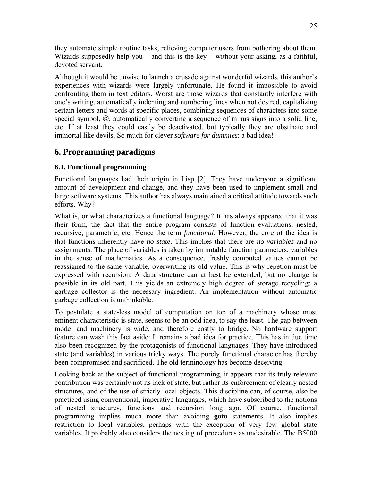they automate simple routine tasks, relieving computer users from bothering about them. Wizards supposedly help you – and this is the key – without your asking, as a faithful, devoted servant.

Although it would be unwise to launch a crusade against wonderful wizards, this author's experiences with wizards were largely unfortunate. He found it impossible to avoid confronting them in text editors. Worst are those wizards that constantly interfere with one's writing, automatically indenting and numbering lines when not desired, capitalizing certain letters and words at specific places, combining sequences of characters into some special symbol,  $\odot$ , automatically converting a sequence of minus signs into a solid line, etc. If at least they could easily be deactivated, but typically they are obstinate and immortal like devils. So much for clever *software for dummies*: a bad idea!

# **6. Programming paradigms**

### **6.1. Functional programming**

Functional languages had their origin in Lisp [2]. They have undergone a significant amount of development and change, and they have been used to implement small and large software systems. This author has always maintained a critical attitude towards such efforts. Why?

What is, or what characterizes a functional language? It has always appeared that it was their form, the fact that the entire program consists of function evaluations, nested, recursive, parametric, etc. Hence the term *functional*. However, the core of the idea is that functions inherently have *no state*. This implies that there are *no variables* and no assignments. The place of variables is taken by immutable function parameters, variables in the sense of mathematics. As a consequence, freshly computed values cannot be reassigned to the same variable, overwriting its old value. This is why repetion must be expressed with recursion. A data structure can at best be extended, but no change is possible in its old part. This yields an extremely high degree of storage recycling; a garbage collector is the necessary ingredient. An implementation without automatic garbage collection is unthinkable.

To postulate a state-less model of computation on top of a machinery whose most eminent characteristic is state, seems to be an odd idea, to say the least. The gap between model and machinery is wide, and therefore costly to bridge. No hardware support feature can wash this fact aside: It remains a bad idea for practice. This has in due time also been recognized by the protagonists of functional languages. They have introduced state (and variables) in various tricky ways. The purely functional character has thereby been compromised and sacrificed. The old terminology has become deceiving.

Looking back at the subject of functional programming, it appears that its truly relevant contribution was certainly not its lack of state, but rather its enforcement of clearly nested structures, and of the use of strictly local objects. This discipline can, of course, also be practiced using conventional, imperative languages, which have subscribed to the notions of nested structures, functions and recursion long ago. Of course, functional programming implies much more than avoiding **goto** statements. It also implies restriction to local variables, perhaps with the exception of very few global state variables. It probably also considers the nesting of procedures as undesirable. The B5000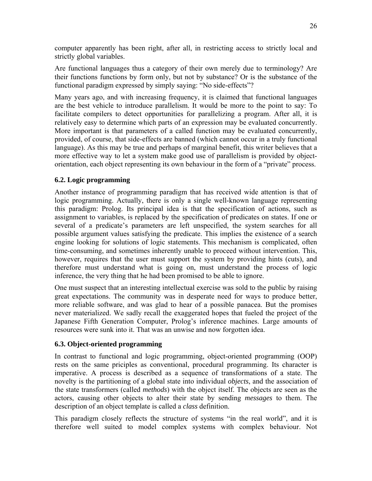computer apparently has been right, after all, in restricting access to strictly local and strictly global variables.

Are functional languages thus a category of their own merely due to terminology? Are their functions functions by form only, but not by substance? Or is the substance of the functional paradigm expressed by simply saying: "No side-effects"?

Many years ago, and with increasing frequency, it is claimed that functional languages are the best vehicle to introduce parallelism. It would be more to the point to say: To facilitate compilers to detect opportunities for parallelizing a program. After all, it is relatively easy to determine which parts of an expression may be evaluated concurrently. More important is that parameters of a called function may be evaluated concurrently, provided, of course, that side-effects are banned (which cannot occur in a truly functional language). As this may be true and perhaps of marginal benefit, this writer believes that a more effective way to let a system make good use of parallelism is provided by objectorientation, each object representing its own behaviour in the form of a "private" process.

### **6.2. Logic programming**

Another instance of programming paradigm that has received wide attention is that of logic programming. Actually, there is only a single well-known language representing this paradigm: Prolog. Its principal idea is that the specification of actions, such as assignment to variables, is replaced by the specification of predicates on states. If one or several of a predicate's parameters are left unspecified, the system searches for all possible argument values satisfying the predicate. This implies the existence of a search engine looking for solutions of logic statements. This mechanism is complicated, often time-consuming, and sometimes inherently unable to proceed without intervention. This, however, requires that the user must support the system by providing hints (cuts), and therefore must understand what is going on, must understand the process of logic inference, the very thing that he had been promised to be able to ignore.

One must suspect that an interesting intellectual exercise was sold to the public by raising great expectations. The community was in desperate need for ways to produce better, more reliable software, and was glad to hear of a possible panacea. But the promises never materialized. We sadly recall the exaggerated hopes that fueled the project of the Japanese Fifth Generation Computer, Prolog's inference machines. Large amounts of resources were sunk into it. That was an unwise and now forgotten idea.

### **6.3. Object-oriented programming**

In contrast to functional and logic programming, object-oriented programming (OOP) rests on the same priciples as conventional, procedural programming. Its character is imperative. A process is described as a sequence of transformations of a state. The novelty is the partitioning of a global state into individual *objects*, and the association of the state transformers (called *methods*) with the object itself. The objects are seen as the actors, causing other objects to alter their state by sending *messages* to them. The description of an object template is called a *class* definition.

This paradigm closely reflects the structure of systems "in the real world", and it is therefore well suited to model complex systems with complex behaviour. Not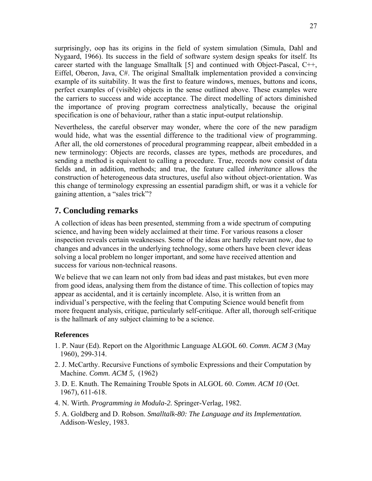surprisingly, oop has its origins in the field of system simulation (Simula, Dahl and Nygaard, 1966). Its success in the field of software system design speaks for itself. Its career started with the language Smalltalk [5] and continued with Object-Pascal, C++, Eiffel, Oberon, Java, C#. The original Smalltalk implementation provided a convincing example of its suitability. It was the first to feature windows, menues, buttons and icons, perfect examples of (visible) objects in the sense outlined above. These examples were the carriers to success and wide acceptance. The direct modelling of actors diminished the importance of proving program correctness analytically, because the original specification is one of behaviour, rather than a static input-output relationship.

Nevertheless, the careful observer may wonder, where the core of the new paradigm would hide, what was the essential difference to the traditional view of programming. After all, the old cornerstones of procedural programming reappear, albeit embedded in a new terminology: Objects are records, classes are types, methods are procedures, and sending a method is equivalent to calling a procedure. True, records now consist of data fields and, in addition, methods; and true, the feature called *inheritance* allows the construction of heterogeneous data structures, useful also without object-orientation. Was this change of terminology expressing an essential paradigm shift, or was it a vehicle for gaining attention, a "sales trick"?

## **7. Concluding remarks**

A collection of ideas has been presented, stemming from a wide spectrum of computing science, and having been widely acclaimed at their time. For various reasons a closer inspection reveals certain weaknesses. Some of the ideas are hardly relevant now, due to changes and advances in the underlying technology, some others have been clever ideas solving a local problem no longer important, and some have received attention and success for various non-technical reasons.

We believe that we can learn not only from bad ideas and past mistakes, but even more from good ideas, analysing them from the distance of time. This collection of topics may appear as accidental, and it is certainly incomplete. Also, it is written from an individual's perspective, with the feeling that Computing Science would benefit from more frequent analysis, critique, particularly self-critique. After all, thorough self-critique is the hallmark of any subject claiming to be a science.

#### **References**

- 1. P. Naur (Ed). Report on the Algorithmic Language ALGOL 60. *Comm. ACM 3* (May 1960), 299-314.
- 2. J. McCarthy. Recursive Functions of symbolic Expressions and their Computation by Machine. *Comm. ACM 5,* (1962)
- 3. D. E. Knuth. The Remaining Trouble Spots in ALGOL 60. *Comm. ACM 10* (Oct. 1967), 611-618.
- 4. N. Wirth. *Programming in Modula-2.* Springer-Verlag, 1982.
- 5. A. Goldberg and D. Robson. *Smalltalk-80: The Language and its Implementation.* Addison-Wesley, 1983.